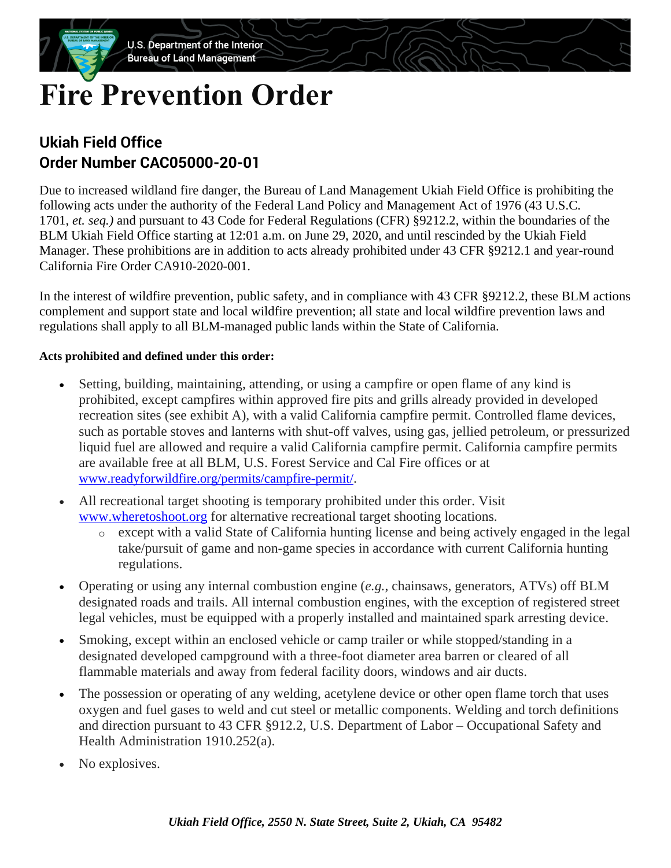# **Fire Prevention Order**

## **Ukiah Field Office Order Number CAC05000-20-01**

Due to increased wildland fire danger, the Bureau of Land Management Ukiah Field Office is prohibiting the following acts under the authority of the Federal Land Policy and Management Act of 1976 (43 U.S.C. 1701, *et. seq.)* and pursuant to 43 Code for Federal Regulations (CFR) §9212.2, within the boundaries of the BLM Ukiah Field Office starting at 12:01 a.m. on June 29, 2020, and until rescinded by the Ukiah Field Manager. These prohibitions are in addition to acts already prohibited under 43 CFR §9212.1 and year-round California Fire Order CA910-2020-001.

In the interest of wildfire prevention, public safety, and in compliance with 43 CFR §9212.2, these BLM actions complement and support state and local wildfire prevention; all state and local wildfire prevention laws and regulations shall apply to all BLM-managed public lands within the State of California.

### **Acts prohibited and defined under this order:**

- Setting, building, maintaining, attending, or using a campfire or open flame of any kind is prohibited, except campfires within approved fire pits and grills already provided in developed recreation sites (see exhibit A), with a valid California campfire permit. Controlled flame devices, such as portable stoves and lanterns with shut-off valves, using gas, jellied petroleum, or pressurized liquid fuel are allowed and require a valid California campfire permit. California campfire permits are available free at all BLM, U.S. Forest Service and Cal Fire offices or at [www.readyforwildfire.org/permits/campfire-permit/](http://www.readyforwildfire.org/permits/campfire-permit/).
- All recreational target shooting is temporary prohibited under this order. Visit [www.wheretoshoot.org](file://///ILMCAFO3DS1/fo/pub/blmshare/18_PUBLIC_INFO/Serena%20Baker/Fire/www.wheretoshoot.org) for alternative recreational target shooting locations.
	- o except with a valid State of California hunting license and being actively engaged in the legal take/pursuit of game and non-game species in accordance with current California hunting regulations.
- Operating or using any internal combustion engine (*e.g.*, chainsaws, generators, ATVs) off BLM designated roads and trails. All internal combustion engines, with the exception of registered street legal vehicles, must be equipped with a properly installed and maintained spark arresting device.
- Smoking, except within an enclosed vehicle or camp trailer or while stopped/standing in a designated developed campground with a three-foot diameter area barren or cleared of all flammable materials and away from federal facility doors, windows and air ducts.
- The possession or operating of any welding, acetylene device or other open flame torch that uses oxygen and fuel gases to weld and cut steel or metallic components. Welding and torch definitions and direction pursuant to 43 CFR §912.2, U.S. Department of Labor – Occupational Safety and Health Administration 1910.252(a).
- No explosives.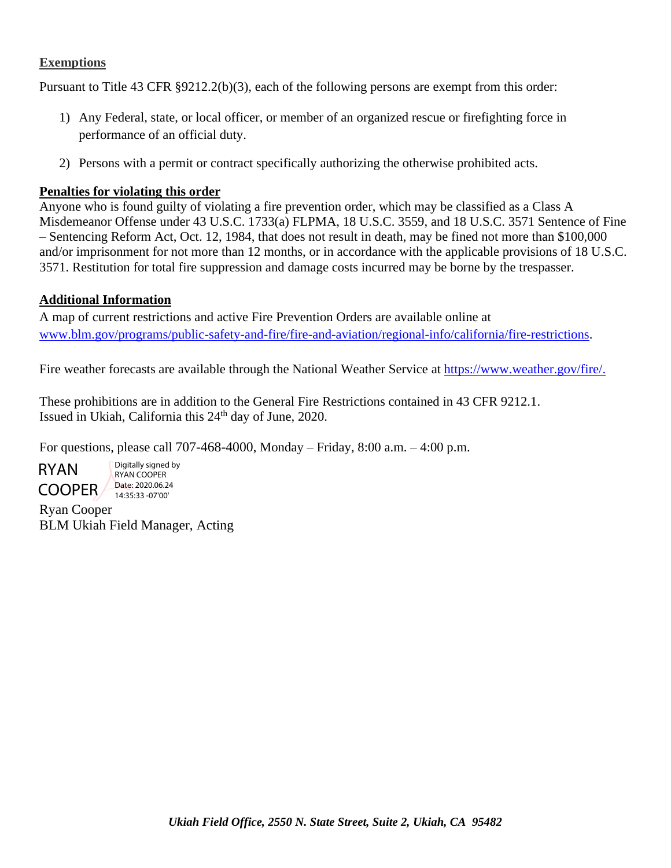#### **Exemptions**

Pursuant to Title 43 CFR §9212.2(b)(3), each of the following persons are exempt from this order:

- 1) Any Federal, state, or local officer, or member of an organized rescue or firefighting force in performance of an official duty.
- 2) Persons with a permit or contract specifically authorizing the otherwise prohibited acts.

#### **Penalties for violating this order**

Anyone who is found guilty of violating a fire prevention order, which may be classified as a Class A Misdemeanor Offense under 43 U.S.C. 1733(a) FLPMA, 18 U.S.C. 3559, and 18 U.S.C. 3571 Sentence of Fine – Sentencing Reform Act, Oct. 12, 1984, that does not result in death, may be fined not more than \$100,000 and/or imprisonment for not more than 12 months, or in accordance with the applicable provisions of 18 U.S.C. 3571. Restitution for total fire suppression and damage costs incurred may be borne by the trespasser.

#### **Additional Information**

A map of current restrictions and active Fire Prevention Orders are available online at [www.blm.gov/programs/public-safety-and-fire/fire-and-aviation/regional-info/california/fire-restrictions.](http://www.blm.gov/programs/public-safety-and-fire/fire-and-aviation/regional-info/california/fire-restrictions)

Fire weather forecasts are available through the National Weather Service at [https://www.weather.gov/fire/.](https://www.weather.gov/fire/)

These prohibitions are in addition to the General Fire Restrictions contained in 43 CFR 9212.1. Issued in Ukiah, California this 24<sup>th</sup> day of June, 2020.

For questions, please call 707-468-4000, Monday – Friday, 8:00 a.m. – 4:00 p.m.

RYAN COOPER 14:35:33 -07'00' Digitally signed by RYAN COOPER 14:35:33 -07'00'

Ryan Cooper BLM Ukiah Field Manager, Acting